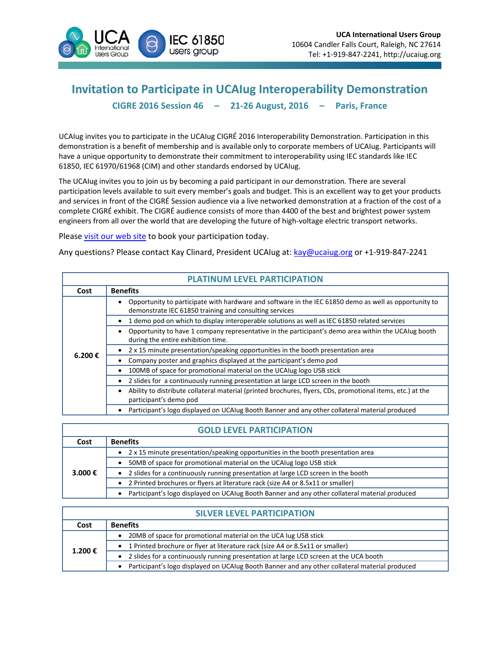

## **Invitation to Participate in UCAIug Interoperability Demonstration CIGRE 2016 Session 46 – 21-26 August, 2016 – Paris, France**

UCAIug invites you to participate in the UCAIug CIGRÉ 2016 Interoperability Demonstration. Participation in this demonstration is a benefit of membership and is available only to corporate members of UCAIug. Participants will have a unique opportunity to demonstrate their commitment to interoperability using IEC standards like IEC 61850, IEC 61970/61968 (CIM) and other standards endorsed by UCAIug.

The UCAIug invites you to join us by becoming a paid participant in our demonstration. There are several participation levels available to suit every member's goals and budget. This is an excellent way to get your products and services in front of the CIGRÉ Session audience via a live networked demonstration at a fraction of the cost of a complete CIGRÉ exhibit. The CIGRÉ audience consists of more than 4400 of the best and brightest power system engineers from all over the world that are developing the future of high-voltage electric transport networks.

Please [visit our web site](http://www.ucaiug.org/Meetings/CIGRE2016/Lists/Booth%20Participants/Booth%20Participation.aspx) to book your participation today.

Any questions? Please contact Kay Clinard, President UCAIug at: [kay@ucaiug.org](mailto:kay@ucaiug.org) or +1-919-847-2241

| <b>PLATINUM LEVEL PARTICIPATION</b> |                                                                                                                                                                 |  |
|-------------------------------------|-----------------------------------------------------------------------------------------------------------------------------------------------------------------|--|
| Cost                                | <b>Benefits</b>                                                                                                                                                 |  |
| 6.200€                              | Opportunity to participate with hardware and software in the IEC 61850 demo as well as opportunity to<br>demonstrate IEC 61850 training and consulting services |  |
|                                     | 1 demo pod on which to display interoperable solutions as well as IEC 61850 related services                                                                    |  |
|                                     | Opportunity to have 1 company representative in the participant's demo area within the UCAIug booth<br>during the entire exhibition time.                       |  |
|                                     | 2 x 15 minute presentation/speaking opportunities in the booth presentation area                                                                                |  |
|                                     | Company poster and graphics displayed at the participant's demo pod                                                                                             |  |
|                                     | 100MB of space for promotional material on the UCAIug logo USB stick<br>٠                                                                                       |  |
|                                     | 2 slides for a continuously running presentation at large LCD screen in the booth<br>$\bullet$                                                                  |  |
|                                     | Ability to distribute collateral material (printed brochures, flyers, CDs, promotional items, etc.) at the<br>participant's demo pod                            |  |
|                                     | Participant's logo displayed on UCAIug Booth Banner and any other collateral material produced                                                                  |  |

## **GOLD LEVEL PARTICIPATION**

| Cost    | <b>Benefits</b>                                                                                |
|---------|------------------------------------------------------------------------------------------------|
| 3.000 € | 2 x 15 minute presentation/speaking opportunities in the booth presentation area               |
|         | 50MB of space for promotional material on the UCAIug logo USB stick                            |
|         | 2 slides for a continuously running presentation at large LCD screen in the booth              |
|         | • 2 Printed brochures or flyers at literature rack (size A4 or 8.5x11 or smaller)              |
|         | Participant's logo displayed on UCAIug Booth Banner and any other collateral material produced |

| <b>SILVER LEVEL PARTICIPATION</b> |                                                                                                |  |
|-----------------------------------|------------------------------------------------------------------------------------------------|--|
| Cost                              | <b>Benefits</b>                                                                                |  |
| 1.200€                            | 20MB of space for promotional material on the UCA lug USB stick                                |  |
|                                   | 1 Printed brochure or flyer at literature rack (size A4 or 8.5x11 or smaller)                  |  |
|                                   | 2 slides for a continuously running presentation at large LCD screen at the UCA booth          |  |
|                                   | Participant's logo displayed on UCAIug Booth Banner and any other collateral material produced |  |